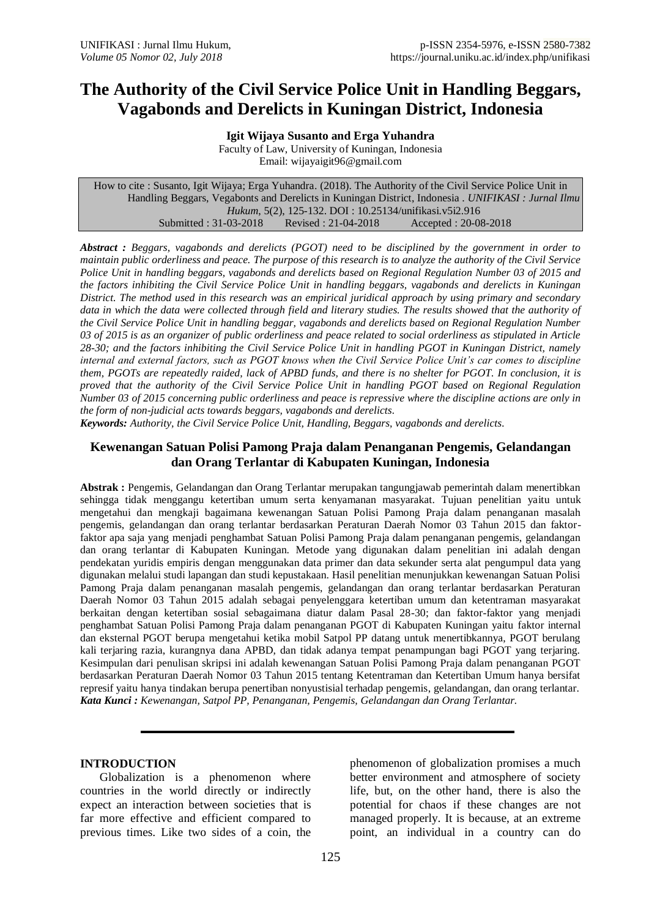# **The Authority of the Civil Service Police Unit in Handling Beggars, Vagabonds and Derelicts in Kuningan District, Indonesia**

**Igit Wijaya Susanto and Erga Yuhandra** Faculty of Law, University of Kuningan, Indonesia Email: [wijayaigit96@gmail.com](mailto:wijayaigit96@gmail.com)

How to cite : Susanto, Igit Wijaya; Erga Yuhandra. (2018). The Authority of the Civil Service Police Unit in Handling Beggars, Vegabonts and Derelicts in Kuningan District, Indonesia . *UNIFIKASI : Jurnal Ilmu Hukum*, 5(2), 125-132. DOI : 10.25134/unifikasi.v5i2.916 Submitted : 31-03-2018 Revised : 21-04-2018 Accepted : 20-08-2018

*Abstract : Beggars, vagabonds and derelicts (PGOT) need to be disciplined by the government in order to maintain public orderliness and peace. The purpose of this research is to analyze the authority of the Civil Service Police Unit in handling beggars, vagabonds and derelicts based on Regional Regulation Number 03 of 2015 and the factors inhibiting the Civil Service Police Unit in handling beggars, vagabonds and derelicts in Kuningan District. The method used in this research was an empirical juridical approach by using primary and secondary*  data in which the data were collected through field and literary studies. The results showed that the authority of *the Civil Service Police Unit in handling beggar, vagabonds and derelicts based on Regional Regulation Number 03 of 2015 is as an organizer of public orderliness and peace related to social orderliness as stipulated in Article 28-30; and the factors inhibiting the Civil Service Police Unit in handling PGOT in Kuningan District, namely internal and external factors, such as PGOT knows when the Civil Service Police Unit's car comes to discipline them, PGOTs are repeatedly raided, lack of APBD funds, and there is no shelter for PGOT. In conclusion, it is proved that the authority of the Civil Service Police Unit in handling PGOT based on Regional Regulation Number 03 of 2015 concerning public orderliness and peace is repressive where the discipline actions are only in the form of non-judicial acts towards beggars, vagabonds and derelicts.*

*Keywords: Authority, the Civil Service Police Unit, Handling, Beggars, vagabonds and derelicts.*

# **Kewenangan Satuan Polisi Pamong Praja dalam Penanganan Pengemis, Gelandangan dan Orang Terlantar di Kabupaten Kuningan, Indonesia**

**Abstrak :** Pengemis, Gelandangan dan Orang Terlantar merupakan tangungjawab pemerintah dalam menertibkan sehingga tidak menggangu ketertiban umum serta kenyamanan masyarakat. Tujuan penelitian yaitu untuk mengetahui dan mengkaji bagaimana kewenangan Satuan Polisi Pamong Praja dalam penanganan masalah pengemis, gelandangan dan orang terlantar berdasarkan Peraturan Daerah Nomor 03 Tahun 2015 dan faktorfaktor apa saja yang menjadi penghambat Satuan Polisi Pamong Praja dalam penanganan pengemis, gelandangan dan orang terlantar di Kabupaten Kuningan. Metode yang digunakan dalam penelitian ini adalah dengan pendekatan yuridis empiris dengan menggunakan data primer dan data sekunder serta alat pengumpul data yang digunakan melalui studi lapangan dan studi kepustakaan. Hasil penelitian menunjukkan kewenangan Satuan Polisi Pamong Praja dalam penanganan masalah pengemis, gelandangan dan orang terlantar berdasarkan Peraturan Daerah Nomor 03 Tahun 2015 adalah sebagai penyelenggara ketertiban umum dan ketentraman masyarakat berkaitan dengan ketertiban sosial sebagaimana diatur dalam Pasal 28-30; dan faktor-faktor yang menjadi penghambat Satuan Polisi Pamong Praja dalam penanganan PGOT di Kabupaten Kuningan yaitu faktor internal dan eksternal PGOT berupa mengetahui ketika mobil Satpol PP datang untuk menertibkannya, PGOT berulang kali terjaring razia, kurangnya dana APBD, dan tidak adanya tempat penampungan bagi PGOT yang terjaring. Kesimpulan dari penulisan skripsi ini adalah kewenangan Satuan Polisi Pamong Praja dalam penanganan PGOT berdasarkan Peraturan Daerah Nomor 03 Tahun 2015 tentang Ketentraman dan Ketertiban Umum hanya bersifat represif yaitu hanya tindakan berupa penertiban nonyustisial terhadap pengemis, gelandangan, dan orang terlantar. *Kata Kunci : Kewenangan, Satpol PP, Penanganan, Pengemis, Gelandangan dan Orang Terlantar.*

#### **INTRODUCTION**

Globalization is a phenomenon where countries in the world directly or indirectly expect an interaction between societies that is far more effective and efficient compared to previous times. Like two sides of a coin, the

phenomenon of globalization promises a much better environment and atmosphere of society life, but, on the other hand, there is also the potential for chaos if these changes are not managed properly. It is because, at an extreme point, an individual in a country can do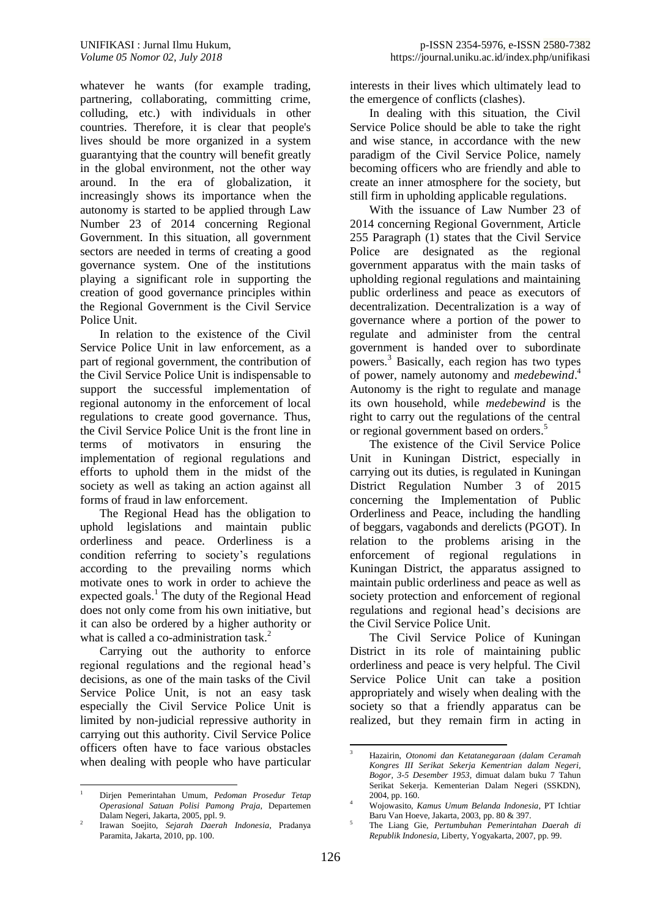whatever he wants (for example trading, partnering, collaborating, committing crime, colluding, etc.) with individuals in other countries. Therefore, it is clear that people's lives should be more organized in a system guarantying that the country will benefit greatly in the global environment, not the other way around. In the era of globalization, it increasingly shows its importance when the autonomy is started to be applied through Law Number 23 of 2014 concerning Regional Government. In this situation, all government sectors are needed in terms of creating a good governance system. One of the institutions playing a significant role in supporting the creation of good governance principles within the Regional Government is the Civil Service Police Unit.

In relation to the existence of the Civil Service Police Unit in law enforcement, as a part of regional government, the contribution of the Civil Service Police Unit is indispensable to support the successful implementation of regional autonomy in the enforcement of local regulations to create good governance. Thus, the Civil Service Police Unit is the front line in terms of motivators in ensuring the implementation of regional regulations and efforts to uphold them in the midst of the society as well as taking an action against all forms of fraud in law enforcement.

The Regional Head has the obligation to uphold legislations and maintain public orderliness and peace. Orderliness is a condition referring to society's regulations according to the prevailing norms which motivate ones to work in order to achieve the expected goals.<sup>1</sup> The duty of the Regional Head does not only come from his own initiative, but it can also be ordered by a higher authority or what is called a co-administration task.<sup>2</sup>

Carrying out the authority to enforce regional regulations and the regional head's decisions, as one of the main tasks of the Civil Service Police Unit, is not an easy task especially the Civil Service Police Unit is limited by non-judicial repressive authority in carrying out this authority. Civil Service Police officers often have to face various obstacles when dealing with people who have particular

interests in their lives which ultimately lead to the emergence of conflicts (clashes).

In dealing with this situation, the Civil Service Police should be able to take the right and wise stance, in accordance with the new paradigm of the Civil Service Police, namely becoming officers who are friendly and able to create an inner atmosphere for the society, but still firm in upholding applicable regulations.

With the issuance of Law Number 23 of 2014 concerning Regional Government, Article 255 Paragraph (1) states that the Civil Service Police are designated as the regional government apparatus with the main tasks of upholding regional regulations and maintaining public orderliness and peace as executors of decentralization. Decentralization is a way of governance where a portion of the power to regulate and administer from the central government is handed over to subordinate powers. <sup>3</sup> Basically, each region has two types of power, namely autonomy and *medebewind*. 4 Autonomy is the right to regulate and manage its own household, while *medebewind* is the right to carry out the regulations of the central or regional government based on orders. 5

The existence of the Civil Service Police Unit in Kuningan District, especially in carrying out its duties, is regulated in Kuningan District Regulation Number 3 of 2015 concerning the Implementation of Public Orderliness and Peace, including the handling of beggars, vagabonds and derelicts (PGOT). In relation to the problems arising in the enforcement of regional regulations in Kuningan District, the apparatus assigned to maintain public orderliness and peace as well as society protection and enforcement of regional regulations and regional head's decisions are the Civil Service Police Unit.

The Civil Service Police of Kuningan District in its role of maintaining public orderliness and peace is very helpful. The Civil Service Police Unit can take a position appropriately and wisely when dealing with the society so that a friendly apparatus can be realized, but they remain firm in acting in

 $\,1\,$ <sup>1</sup> Dirjen Pemerintahan Umum, *Pedoman Prosedur Tetap Operasional Satuan Polisi Pamong Praja*, Departemen Dalam Negeri, Jakarta, 2005, ppl. 9.

<sup>2</sup> Irawan Soejito, *Sejarah Daerah Indonesia*, Pradanya Paramita, Jakarta, 2010, pp. 100.

<sup>1</sup> <sup>3</sup> Hazairin, *Otonomi dan Ketatanegaraan (dalam Ceramah Kongres III Serikat Sekerja Kementrian dalam Negeri, Bogor, 3-5 Desember 1953*, dimuat dalam buku 7 Tahun Serikat Sekerja. Kementerian Dalam Negeri (SSKDN), 2004, pp. 160.

<sup>4</sup> Wojowasito, *Kamus Umum Belanda Indonesia*, PT Ichtiar Baru Van Hoeve, Jakarta, 2003, pp. 80 & 397.

<sup>5</sup> The Liang Gie, *Pertumbuhan Pemerintahan Daerah di Republik Indonesia*, Liberty, Yogyakarta, 2007, pp. 99.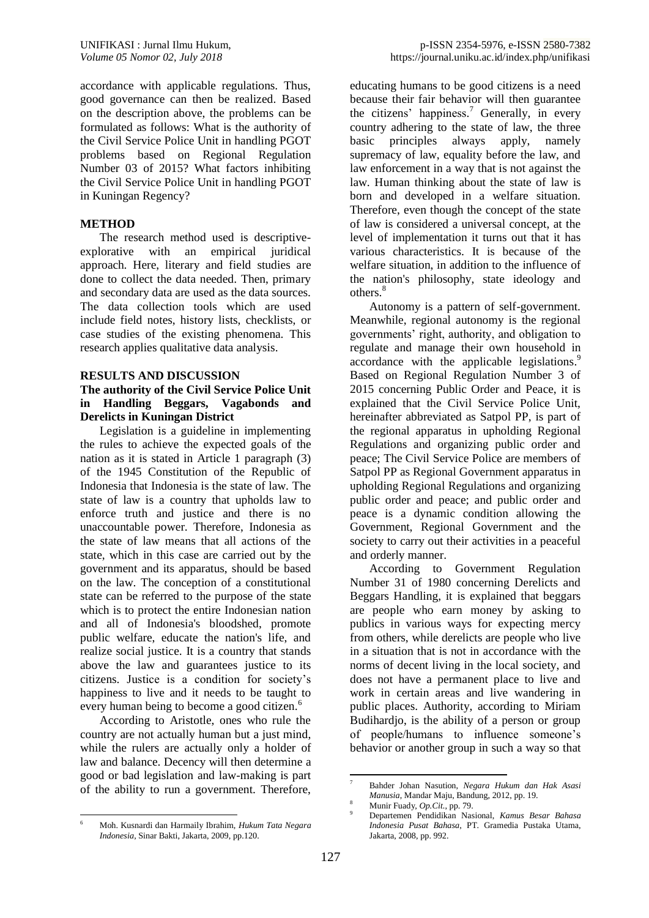accordance with applicable regulations. Thus, good governance can then be realized. Based on the description above, the problems can be formulated as follows: What is the authority of the Civil Service Police Unit in handling PGOT problems based on Regional Regulation Number 03 of 2015? What factors inhibiting the Civil Service Police Unit in handling PGOT in Kuningan Regency?

#### **METHOD**

The research method used is descriptiveexplorative with an empirical juridical approach. Here, literary and field studies are done to collect the data needed. Then, primary and secondary data are used as the data sources. The data collection tools which are used include field notes, history lists, checklists, or case studies of the existing phenomena. This research applies qualitative data analysis.

#### **RESULTS AND DISCUSSION**

### **The authority of the Civil Service Police Unit in Handling Beggars, Vagabonds and Derelicts in Kuningan District**

Legislation is a guideline in implementing the rules to achieve the expected goals of the nation as it is stated in Article 1 paragraph (3) of the 1945 Constitution of the Republic of Indonesia that Indonesia is the state of law. The state of law is a country that upholds law to enforce truth and justice and there is no unaccountable power. Therefore, Indonesia as the state of law means that all actions of the state, which in this case are carried out by the government and its apparatus, should be based on the law. The conception of a constitutional state can be referred to the purpose of the state which is to protect the entire Indonesian nation and all of Indonesia's bloodshed, promote public welfare, educate the nation's life, and realize social justice. It is a country that stands above the law and guarantees justice to its citizens. Justice is a condition for society's happiness to live and it needs to be taught to every human being to become a good citizen.<sup>6</sup>

According to Aristotle, ones who rule the country are not actually human but a just mind, while the rulers are actually only a holder of law and balance. Decency will then determine a good or bad legislation and law-making is part of the ability to run a government. Therefore,

educating humans to be good citizens is a need because their fair behavior will then guarantee the citizens' happiness. <sup>7</sup> Generally, in every country adhering to the state of law, the three basic principles always apply, namely supremacy of law, equality before the law, and law enforcement in a way that is not against the law. Human thinking about the state of law is born and developed in a welfare situation. Therefore, even though the concept of the state of law is considered a universal concept, at the level of implementation it turns out that it has various characteristics. It is because of the welfare situation, in addition to the influence of the nation's philosophy, state ideology and others. 8

Autonomy is a pattern of self-government. Meanwhile, regional autonomy is the regional governments' right, authority, and obligation to regulate and manage their own household in accordance with the applicable legislations.<sup>9</sup> Based on Regional Regulation Number 3 of 2015 concerning Public Order and Peace, it is explained that the Civil Service Police Unit, hereinafter abbreviated as Satpol PP, is part of the regional apparatus in upholding Regional Regulations and organizing public order and peace; The Civil Service Police are members of Satpol PP as Regional Government apparatus in upholding Regional Regulations and organizing public order and peace; and public order and peace is a dynamic condition allowing the Government, Regional Government and the society to carry out their activities in a peaceful and orderly manner.

According to Government Regulation Number 31 of 1980 concerning Derelicts and Beggars Handling, it is explained that beggars are people who earn money by asking to publics in various ways for expecting mercy from others, while derelicts are people who live in a situation that is not in accordance with the norms of decent living in the local society, and does not have a permanent place to live and work in certain areas and live wandering in public places. Authority, according to Miriam Budihardjo, is the ability of a person or group of people/humans to influence someone's behavior or another group in such a way so that

<sup>1</sup> <sup>7</sup> Bahder Johan Nasution, *Negara Hukum dan Hak Asasi Manusia*, Mandar Maju, Bandung, 2012, pp. 19.

<sup>8</sup> Munir Fuady, *Op.Cit.*, pp. 79.

<sup>9</sup> Departemen Pendidikan Nasional, *Kamus Besar Bahasa Indonesia Pusat Bahasa*, PT. Gramedia Pustaka Utama, Jakarta, 2008, pp. 992.

 $\ddot{\mathbf{6}}$ <sup>6</sup> Moh. Kusnardi dan Harmaily Ibrahim, *Hukum Tata Negara Indonesia*, Sinar Bakti, Jakarta, 2009, pp.120.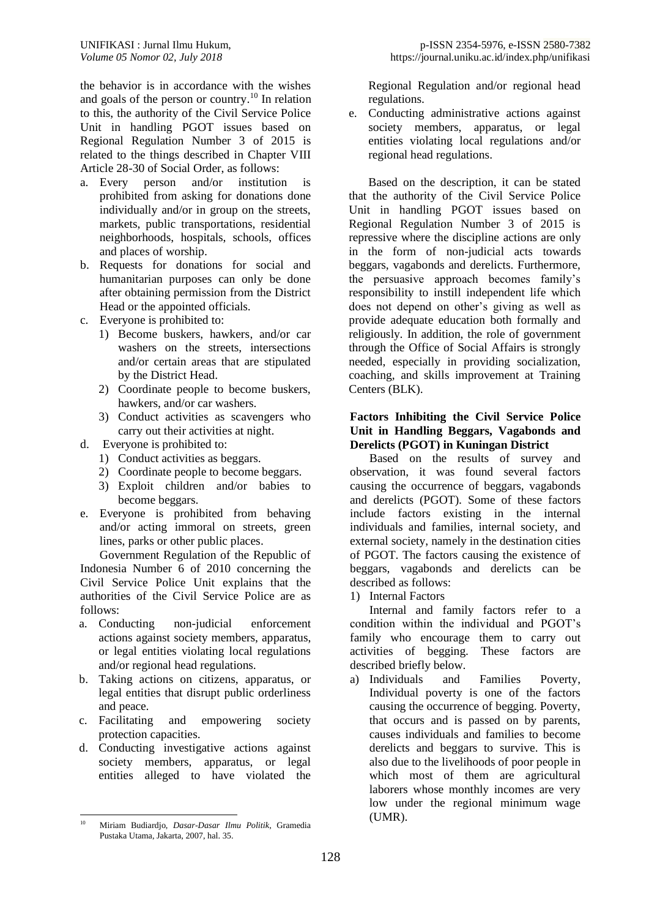the behavior is in accordance with the wishes and goals of the person or country. <sup>10</sup> In relation to this, the authority of the Civil Service Police Unit in handling PGOT issues based on Regional Regulation Number 3 of 2015 is related to the things described in Chapter VIII Article 28-30 of Social Order, as follows:

- a. Every person and/or institution is prohibited from asking for donations done individually and/or in group on the streets, markets, public transportations, residential neighborhoods, hospitals, schools, offices and places of worship.
- b. Requests for donations for social and humanitarian purposes can only be done after obtaining permission from the District Head or the appointed officials.
- c. Everyone is prohibited to:
	- 1) Become buskers, hawkers, and/or car washers on the streets, intersections and/or certain areas that are stipulated by the District Head.
	- 2) Coordinate people to become buskers, hawkers, and/or car washers.
	- 3) Conduct activities as scavengers who carry out their activities at night.
- d. Everyone is prohibited to:
	- 1) Conduct activities as beggars.
	- 2) Coordinate people to become beggars.
	- 3) Exploit children and/or babies to become beggars.
- e. Everyone is prohibited from behaving and/or acting immoral on streets, green lines, parks or other public places.

Government Regulation of the Republic of Indonesia Number 6 of 2010 concerning the Civil Service Police Unit explains that the authorities of the Civil Service Police are as follows:

- a. Conducting non-judicial enforcement actions against society members, apparatus, or legal entities violating local regulations and/or regional head regulations.
- b. Taking actions on citizens, apparatus, or legal entities that disrupt public orderliness and peace.
- c. Facilitating and empowering society protection capacities.
- d. Conducting investigative actions against society members, apparatus, or legal entities alleged to have violated the

Regional Regulation and/or regional head regulations.

e. Conducting administrative actions against society members, apparatus, or legal entities violating local regulations and/or regional head regulations.

Based on the description, it can be stated that the authority of the Civil Service Police Unit in handling PGOT issues based on Regional Regulation Number 3 of 2015 is repressive where the discipline actions are only in the form of non-judicial acts towards beggars, vagabonds and derelicts. Furthermore, the persuasive approach becomes family's responsibility to instill independent life which does not depend on other's giving as well as provide adequate education both formally and religiously. In addition, the role of government through the Office of Social Affairs is strongly needed, especially in providing socialization, coaching, and skills improvement at Training Centers (BLK).

#### **Factors Inhibiting the Civil Service Police Unit in Handling Beggars, Vagabonds and Derelicts (PGOT) in Kuningan District**

Based on the results of survey and observation, it was found several factors causing the occurrence of beggars, vagabonds and derelicts (PGOT). Some of these factors include factors existing in the internal individuals and families, internal society, and external society, namely in the destination cities of PGOT. The factors causing the existence of beggars, vagabonds and derelicts can be described as follows:

1) Internal Factors

Internal and family factors refer to a condition within the individual and PGOT's family who encourage them to carry out activities of begging. These factors are described briefly below.

a) Individuals and Families Poverty, Individual poverty is one of the factors causing the occurrence of begging. Poverty, that occurs and is passed on by parents, causes individuals and families to become derelicts and beggars to survive. This is also due to the livelihoods of poor people in which most of them are agricultural laborers whose monthly incomes are very low under the regional minimum wage (UMR).

 $10$ <sup>10</sup> Miriam Budiardjo, *Dasar-Dasar Ilmu Politik*, Gramedia Pustaka Utama, Jakarta, 2007, hal. 35.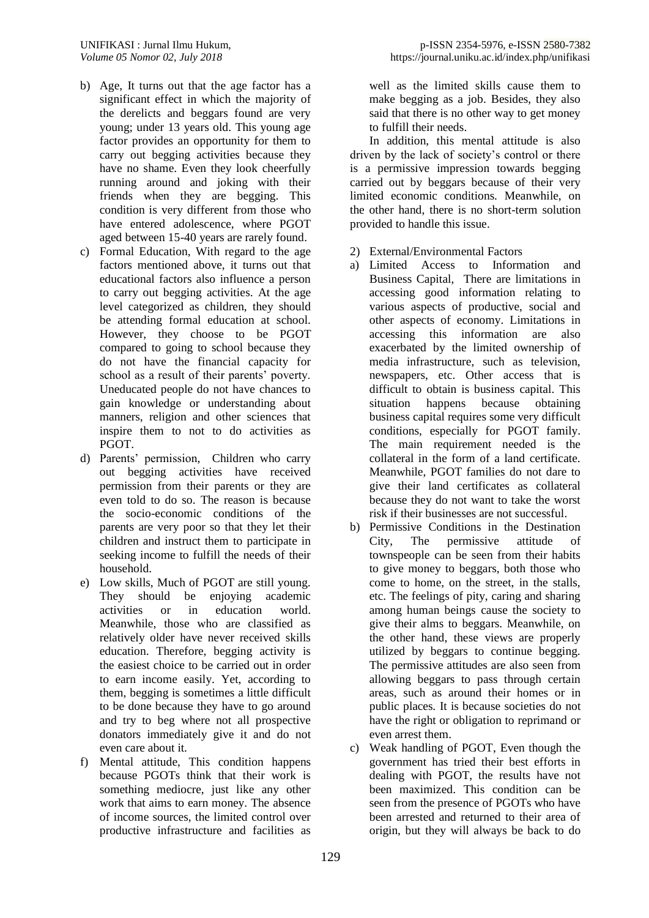- b) Age, It turns out that the age factor has a significant effect in which the majority of the derelicts and beggars found are very young; under 13 years old. This young age factor provides an opportunity for them to carry out begging activities because they have no shame. Even they look cheerfully running around and joking with their friends when they are begging. This condition is very different from those who have entered adolescence, where PGOT aged between 15-40 years are rarely found.
- c) Formal Education, With regard to the age factors mentioned above, it turns out that educational factors also influence a person to carry out begging activities. At the age level categorized as children, they should be attending formal education at school. However, they choose to be PGOT compared to going to school because they do not have the financial capacity for school as a result of their parents' poverty. Uneducated people do not have chances to gain knowledge or understanding about manners, religion and other sciences that inspire them to not to do activities as PGOT.
- d) Parents' permission, Children who carry out begging activities have received permission from their parents or they are even told to do so. The reason is because the socio-economic conditions of the parents are very poor so that they let their children and instruct them to participate in seeking income to fulfill the needs of their household.
- e) Low skills, Much of PGOT are still young. They should be enjoying academic activities or in education world. Meanwhile, those who are classified as relatively older have never received skills education. Therefore, begging activity is the easiest choice to be carried out in order to earn income easily. Yet, according to them, begging is sometimes a little difficult to be done because they have to go around and try to beg where not all prospective donators immediately give it and do not even care about it.
- f) Mental attitude, This condition happens because PGOTs think that their work is something mediocre, just like any other work that aims to earn money. The absence of income sources, the limited control over productive infrastructure and facilities as

well as the limited skills cause them to make begging as a job. Besides, they also said that there is no other way to get money to fulfill their needs.

In addition, this mental attitude is also driven by the lack of society's control or there is a permissive impression towards begging carried out by beggars because of their very limited economic conditions. Meanwhile, on the other hand, there is no short-term solution provided to handle this issue.

- 2) External/Environmental Factors
- a) Limited Access to Information and Business Capital, There are limitations in accessing good information relating to various aspects of productive, social and other aspects of economy. Limitations in accessing this information are also exacerbated by the limited ownership of media infrastructure, such as television, newspapers, etc. Other access that is difficult to obtain is business capital. This situation happens because obtaining business capital requires some very difficult conditions, especially for PGOT family. The main requirement needed is the collateral in the form of a land certificate. Meanwhile, PGOT families do not dare to give their land certificates as collateral because they do not want to take the worst risk if their businesses are not successful.
- b) Permissive Conditions in the Destination City, The permissive attitude of townspeople can be seen from their habits to give money to beggars, both those who come to home, on the street, in the stalls, etc. The feelings of pity, caring and sharing among human beings cause the society to give their alms to beggars. Meanwhile, on the other hand, these views are properly utilized by beggars to continue begging. The permissive attitudes are also seen from allowing beggars to pass through certain areas, such as around their homes or in public places. It is because societies do not have the right or obligation to reprimand or even arrest them.
- c) Weak handling of PGOT, Even though the government has tried their best efforts in dealing with PGOT, the results have not been maximized. This condition can be seen from the presence of PGOTs who have been arrested and returned to their area of origin, but they will always be back to do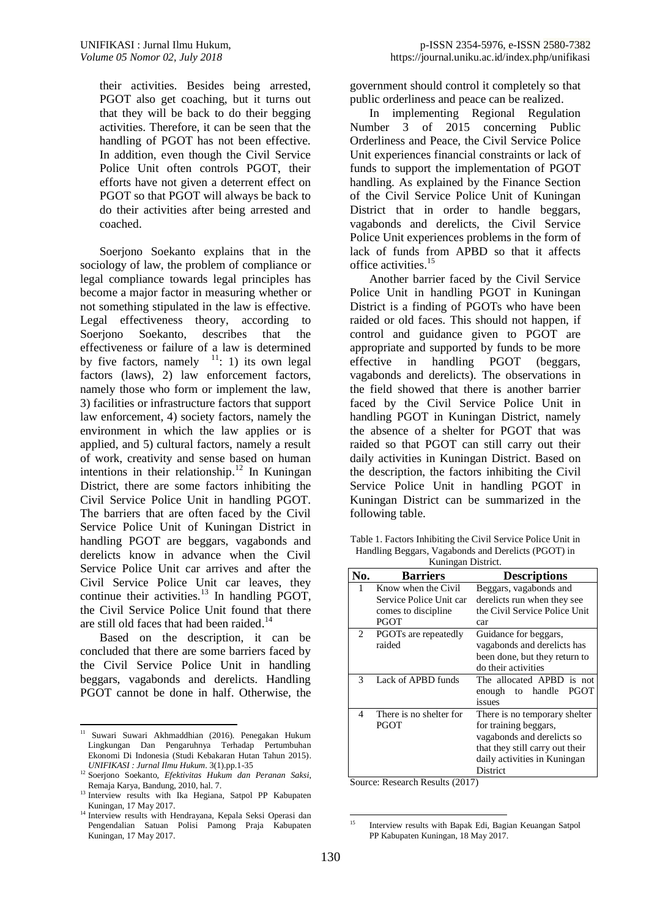their activities. Besides being arrested, PGOT also get coaching, but it turns out that they will be back to do their begging activities. Therefore, it can be seen that the handling of PGOT has not been effective. In addition, even though the Civil Service Police Unit often controls PGOT, their efforts have not given a deterrent effect on PGOT so that PGOT will always be back to do their activities after being arrested and coached.

Soerjono Soekanto explains that in the sociology of law, the problem of compliance or legal compliance towards legal principles has become a major factor in measuring whether or not something stipulated in the law is effective. Legal effectiveness theory, according to Soerjono Soekanto, describes that the effectiveness or failure of a law is determined by five factors, namely  $1!$ : 1) its own legal factors (laws), 2) law enforcement factors, namely those who form or implement the law, 3) facilities or infrastructure factors that support law enforcement, 4) society factors, namely the environment in which the law applies or is applied, and 5) cultural factors, namely a result of work, creativity and sense based on human intentions in their relationship. <sup>12</sup> In Kuningan District, there are some factors inhibiting the Civil Service Police Unit in handling PGOT. The barriers that are often faced by the Civil Service Police Unit of Kuningan District in handling PGOT are beggars, vagabonds and derelicts know in advance when the Civil Service Police Unit car arrives and after the Civil Service Police Unit car leaves, they continue their activities. $^{13}$  In handling PGOT, the Civil Service Police Unit found that there are still old faces that had been raided.<sup>14</sup>

Based on the description, it can be concluded that there are some barriers faced by the Civil Service Police Unit in handling beggars, vagabonds and derelicts. Handling PGOT cannot be done in half. Otherwise, the

government should control it completely so that public orderliness and peace can be realized.

In implementing Regional Regulation Number 3 of 2015 concerning Public Orderliness and Peace, the Civil Service Police Unit experiences financial constraints or lack of funds to support the implementation of PGOT handling. As explained by the Finance Section of the Civil Service Police Unit of Kuningan District that in order to handle beggars, vagabonds and derelicts, the Civil Service Police Unit experiences problems in the form of lack of funds from APBD so that it affects office activities. 15

Another barrier faced by the Civil Service Police Unit in handling PGOT in Kuningan District is a finding of PGOTs who have been raided or old faces. This should not happen, if control and guidance given to PGOT are appropriate and supported by funds to be more effective in handling PGOT (beggars, vagabonds and derelicts). The observations in the field showed that there is another barrier faced by the Civil Service Police Unit in handling PGOT in Kuningan District, namely the absence of a shelter for PGOT that was raided so that PGOT can still carry out their daily activities in Kuningan District. Based on the description, the factors inhibiting the Civil Service Police Unit in handling PGOT in Kuningan District can be summarized in the following table.

Table 1. Factors Inhibiting the Civil Service Police Unit in Handling Beggars, Vagabonds and Derelicts (PGOT) in Kuningan District.

| ixumiigan District.                                       |                                  |                                 |
|-----------------------------------------------------------|----------------------------------|---------------------------------|
| No.                                                       | <b>Barriers</b>                  | <b>Descriptions</b>             |
| 1                                                         | Know when the Civil              | Beggars, vagabonds and          |
|                                                           | Service Police Unit car          | derelicts run when they see     |
|                                                           | comes to discipline              | the Civil Service Police Unit   |
|                                                           | <b>PGOT</b>                      | car                             |
| 2                                                         | PGOT <sub>s</sub> are repeatedly | Guidance for beggars,           |
|                                                           | raided                           | vagabonds and derelicts has     |
|                                                           |                                  | been done, but they return to   |
|                                                           |                                  | do their activities             |
| 3                                                         | Lack of APBD funds               | The allocated APBD is not       |
|                                                           |                                  | enough to handle<br>PGOT        |
|                                                           |                                  | issues                          |
| 4                                                         | There is no shelter for          | There is no temporary shelter   |
|                                                           | PGOT                             | for training beggars,           |
|                                                           |                                  | vagabonds and derelicts so      |
|                                                           |                                  | that they still carry out their |
|                                                           |                                  | daily activities in Kuningan    |
|                                                           |                                  | District                        |
| $\sim$<br>$1 \, \text{D}$ $1 \, \text{A}$<br>$\mathbf{D}$ |                                  |                                 |

Source: Research Results (2017)

 $11\,$ <sup>11</sup> Suwari Suwari Akhmaddhian (2016). Penegakan Hukum Lingkungan Dan Pengaruhnya Terhadap Pertumbuhan Ekonomi Di Indonesia (Studi Kebakaran Hutan Tahun 2015). *UNIFIKASI : Jurnal Ilmu Hukum*. 3(1).pp.1-35

<sup>12</sup> Soerjono Soekanto, *Efektivitas Hukum dan Peranan Saksi*, Remaja Karya, Bandung, 2010, hal. 7.

<sup>&</sup>lt;sup>13</sup> Interview results with Ika Hegiana, Satpol PP Kabupaten Kuningan, 17 May 2017.

<sup>&</sup>lt;sup>14</sup> Interview results with Hendrayana, Kepala Seksi Operasi dan Pengendalian Satuan Polisi Pamong Praja Kabupaten Kuningan, 17 May 2017.

 $15$ <sup>15</sup> Interview results with Bapak Edi, Bagian Keuangan Satpol PP Kabupaten Kuningan, 18 May 2017.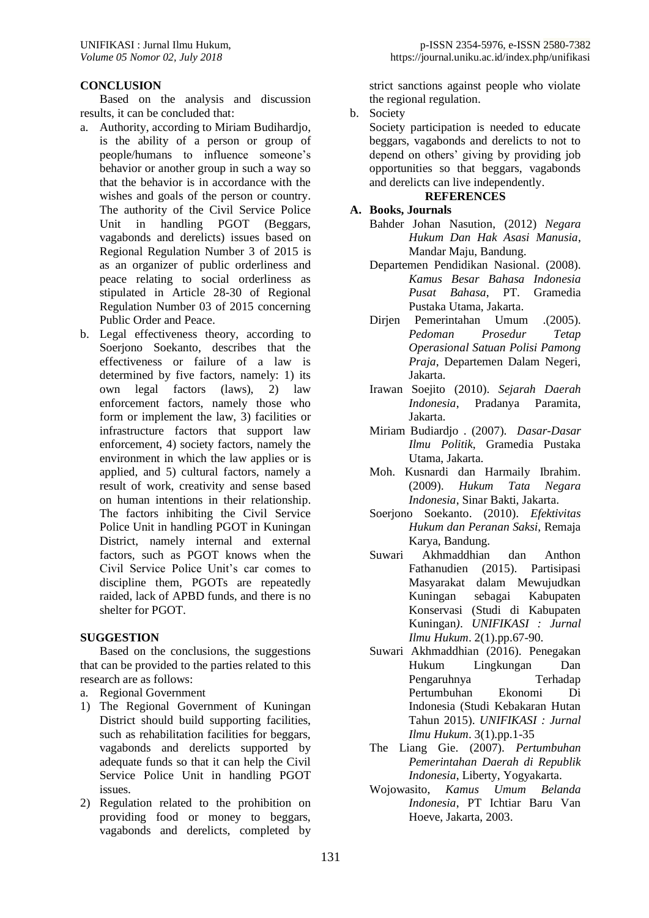## **CONCLUSION**

Based on the analysis and discussion results, it can be concluded that:

- a. Authority, according to Miriam Budihardjo, is the ability of a person or group of people/humans to influence someone's behavior or another group in such a way so that the behavior is in accordance with the wishes and goals of the person or country. The authority of the Civil Service Police Unit in handling PGOT (Beggars, vagabonds and derelicts) issues based on Regional Regulation Number 3 of 2015 is as an organizer of public orderliness and peace relating to social orderliness as stipulated in Article 28-30 of Regional Regulation Number 03 of 2015 concerning Public Order and Peace.
- b. Legal effectiveness theory, according to Soerjono Soekanto, describes that the effectiveness or failure of a law is determined by five factors, namely: 1) its own legal factors (laws), 2) law enforcement factors, namely those who form or implement the law, 3) facilities or infrastructure factors that support law enforcement, 4) society factors, namely the environment in which the law applies or is applied, and 5) cultural factors, namely a result of work, creativity and sense based on human intentions in their relationship. The factors inhibiting the Civil Service Police Unit in handling PGOT in Kuningan District, namely internal and external factors, such as PGOT knows when the Civil Service Police Unit's car comes to discipline them, PGOTs are repeatedly raided, lack of APBD funds, and there is no shelter for PGOT.

#### **SUGGESTION**

Based on the conclusions, the suggestions that can be provided to the parties related to this research are as follows:

- a. Regional Government
- 1) The Regional Government of Kuningan District should build supporting facilities, such as rehabilitation facilities for beggars, vagabonds and derelicts supported by adequate funds so that it can help the Civil Service Police Unit in handling PGOT issues.
- 2) Regulation related to the prohibition on providing food or money to beggars, vagabonds and derelicts, completed by

strict sanctions against people who violate the regional regulation.

b. Society

Society participation is needed to educate beggars, vagabonds and derelicts to not to depend on others' giving by providing job opportunities so that beggars, vagabonds and derelicts can live independently.

# **REFERENCES**

## **A. Books, Journals**

- Bahder Johan Nasution, (2012) *Negara Hukum Dan Hak Asasi Manusia*, Mandar Maju, Bandung.
- Departemen Pendidikan Nasional. (2008). *Kamus Besar Bahasa Indonesia Pusat Bahasa*, PT. Gramedia Pustaka Utama, Jakarta.
- Dirjen Pemerintahan Umum .(2005). *Pedoman Prosedur Tetap Operasional Satuan Polisi Pamong Praja*, Departemen Dalam Negeri, Jakarta.
- Irawan Soejito (2010). *Sejarah Daerah Indonesia*, Pradanya Paramita, Jakarta.
- Miriam Budiardjo . (2007). *Dasar-Dasar Ilmu Politik*, Gramedia Pustaka Utama, Jakarta.
- Moh. Kusnardi dan Harmaily Ibrahim. (2009). *Hukum Tata Negara Indonesia*, Sinar Bakti, Jakarta.
- Soerjono Soekanto. (2010). *Efektivitas Hukum dan Peranan Saksi*, Remaja Karya, Bandung.
- Suwari Akhmaddhian dan Anthon Fathanudien (2015). Partisipasi Masyarakat dalam Mewujudkan Kuningan sebagai Kabupaten Konservasi (Studi di Kabupaten Kuningan*)*. *UNIFIKASI : Jurnal Ilmu Hukum*. 2(1).pp.67-90.
- Suwari Akhmaddhian (2016). Penegakan Hukum Lingkungan Dan Pengaruhnya Terhadap Pertumbuhan Ekonomi Di Indonesia (Studi Kebakaran Hutan Tahun 2015). *UNIFIKASI : Jurnal Ilmu Hukum*. 3(1).pp.1-35
- The Liang Gie. (2007). *Pertumbuhan Pemerintahan Daerah di Republik Indonesia*, Liberty, Yogyakarta.
- Wojowasito, *Kamus Umum Belanda Indonesia*, PT Ichtiar Baru Van Hoeve, Jakarta, 2003.